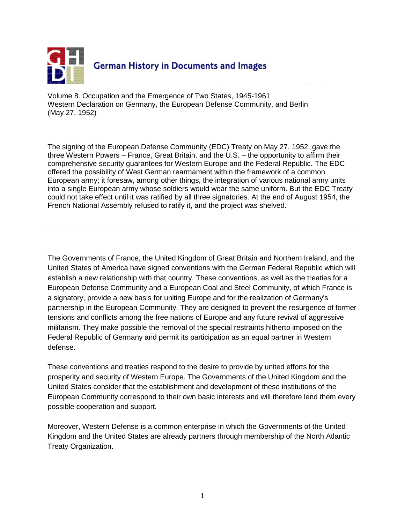

Volume 8. Occupation and the Emergence of Two States, 1945-1961 Western Declaration on Germany, the European Defense Community, and Berlin (May 27, 1952)

The signing of the European Defense Community (EDC) Treaty on May 27, 1952, gave the three Western Powers – France, Great Britain, and the U.S. – the opportunity to affirm their comprehensive security guarantees for Western Europe and the Federal Republic. The EDC offered the possibility of West German rearmament within the framework of a common European army; it foresaw, among other things, the integration of various national army units into a single European army whose soldiers would wear the same uniform. But the EDC Treaty could not take effect until it was ratified by all three signatories. At the end of August 1954, the French National Assembly refused to ratify it, and the project was shelved.

The Governments of France, the United Kingdom of Great Britain and Northern Ireland, and the United States of America have signed conventions with the German Federal Republic which will establish a new relationship with that country. These conventions, as well as the treaties for a European Defense Community and a European Coal and Steel Community, of which France is a signatory, provide a new basis for uniting Europe and for the realization of Germany's partnership in the European Community. They are designed to prevent the resurgence of former tensions and conflicts among the free nations of Europe and any future revival of aggressive militarism. They make possible the removal of the special restraints hitherto imposed on the Federal Republic of Germany and permit its participation as an equal partner in Western defense.

These conventions and treaties respond to the desire to provide by united efforts for the prosperity and security of Western Europe. The Governments of the United Kingdom and the United States consider that the establishment and development of these institutions of the European Community correspond to their own basic interests and will therefore lend them every possible cooperation and support.

Moreover, Western Defense is a common enterprise in which the Governments of the United Kingdom and the United States are already partners through membership of the North Atlantic Treaty Organization.